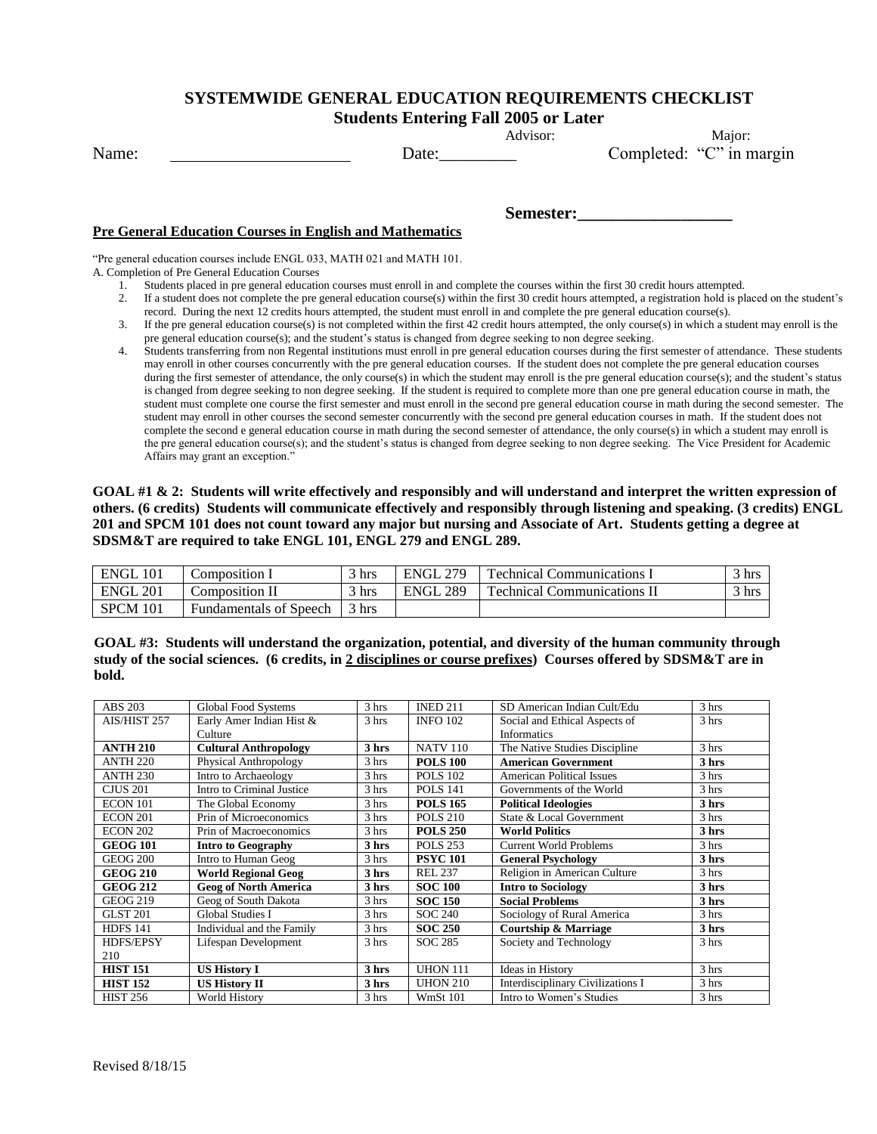## **SYSTEMWIDE GENERAL EDUCATION REQUIREMENTS CHECKLIST**

**Students Entering Fall 2005 or Later**

Advisor: Major: Name: Date: Date: Completed: "C" in margin

## **Pre General Education Courses in English and Mathematics**

"Pre general education courses include ENGL 033, MATH 021 and MATH 101. A. Completion of Pre General Education Courses

- 1. Students placed in pre general education courses must enroll in and complete the courses within the first 30 credit hours attempted.
- 2. If a student does not complete the pre general education course(s) within the first 30 credit hours attempted, a registration hold is placed on the student's record. During the next 12 credits hours attempted, the student must enroll in and complete the pre general education course(s).

**Semester:\_\_\_\_\_\_\_\_\_\_\_\_\_\_\_\_\_\_**

- 3. If the pre general education course(s) is not completed within the first 42 credit hours attempted, the only course(s) in which a student may enroll is the pre general education course(s); and the student's status is changed from degree seeking to non degree seeking.
- 4. Students transferring from non Regental institutions must enroll in pre general education courses during the first semester of attendance. These students may enroll in other courses concurrently with the pre general education courses. If the student does not complete the pre general education courses during the first semester of attendance, the only course(s) in which the student may enroll is the pre general education course(s); and the student's status is changed from degree seeking to non degree seeking. If the student is required to complete more than one pre general education course in math, the student must complete one course the first semester and must enroll in the second pre general education course in math during the second semester. The student may enroll in other courses the second semester concurrently with the second pre general education courses in math. If the student does not complete the second e general education course in math during the second semester of attendance, the only course(s) in which a student may enroll is the pre general education course(s); and the student's status is changed from degree seeking to non degree seeking. The Vice President for Academic Affairs may grant an exception."

**GOAL #1 & 2: Students will write effectively and responsibly and will understand and interpret the written expression of others. (6 credits) Students will communicate effectively and responsibly through listening and speaking. (3 credits) ENGL 201 and SPCM 101 does not count toward any major but nursing and Associate of Art. Students getting a degree at SDSM&T are required to take ENGL 101, ENGL 279 and ENGL 289.**

| ENGL<br>101 | Composition 1                 | $\sim$ 1<br>hrs   | 270<br>ENGL | <b>Technical Communications</b>   | $3 \text{ hrs}$ |
|-------------|-------------------------------|-------------------|-------------|-----------------------------------|-----------------|
| 201<br>ENGL | Composition II                | $\frac{3}{1}$ hrs | 289<br>ENGL | <b>Technical Communications</b> 1 | $3 \text{ hrs}$ |
| SPCM 101    | <b>Fundamentals of Speech</b> | $\frac{3}{1}$ hrs |             |                                   |                 |

**GOAL #3: Students will understand the organization, potential, and diversity of the human community through study of the social sciences. (6 credits, in 2 disciplines or course prefixes) Courses offered by SDSM&T are in bold.**

| <b>ABS 203</b>  | Global Food Systems          | 3 hrs | <b>INED 211</b> | SD American Indian Cult/Edu       | 3 hrs |
|-----------------|------------------------------|-------|-----------------|-----------------------------------|-------|
| AIS/HIST 257    | Early Amer Indian Hist &     | 3 hrs | <b>INFO 102</b> | Social and Ethical Aspects of     | 3 hrs |
|                 | Culture                      |       |                 | <b>Informatics</b>                |       |
| <b>ANTH 210</b> | <b>Cultural Anthropology</b> | 3 hrs | <b>NATV 110</b> | The Native Studies Discipline     | 3 hrs |
| <b>ANTH 220</b> | Physical Anthropology        | 3 hrs | <b>POLS 100</b> | <b>American Government</b>        | 3 hrs |
| <b>ANTH 230</b> | Intro to Archaeology         | 3 hrs | <b>POLS 102</b> | <b>American Political Issues</b>  | 3 hrs |
| <b>CJUS 201</b> | Intro to Criminal Justice    | 3 hrs | <b>POLS 141</b> | Governments of the World          | 3 hrs |
| ECON 101        | The Global Economy           | 3 hrs | <b>POLS 165</b> | <b>Political Ideologies</b>       | 3 hrs |
| <b>ECON 201</b> | Prin of Microeconomics       | 3 hrs | <b>POLS 210</b> | State & Local Government          | 3 hrs |
| <b>ECON 202</b> | Prin of Macroeconomics       | 3 hrs | <b>POLS 250</b> | <b>World Politics</b>             | 3 hrs |
| <b>GEOG 101</b> | <b>Intro to Geography</b>    | 3 hrs | <b>POLS 253</b> | <b>Current World Problems</b>     | 3 hrs |
| <b>GEOG 200</b> | Intro to Human Geog          | 3 hrs | <b>PSYC 101</b> | <b>General Psychology</b>         | 3 hrs |
| <b>GEOG 210</b> | <b>World Regional Geog</b>   | 3 hrs | <b>REL 237</b>  | Religion in American Culture      | 3 hrs |
| <b>GEOG 212</b> | <b>Geog of North America</b> | 3 hrs | <b>SOC 100</b>  | <b>Intro to Sociology</b>         | 3 hrs |
| <b>GEOG 219</b> | Geog of South Dakota         | 3 hrs | <b>SOC 150</b>  | <b>Social Problems</b>            | 3 hrs |
| <b>GLST 201</b> | <b>Global Studies I</b>      | 3 hrs | <b>SOC 240</b>  | Sociology of Rural America        | 3 hrs |
| <b>HDFS 141</b> | Individual and the Family    | 3 hrs | <b>SOC 250</b>  | <b>Courtship &amp; Marriage</b>   | 3 hrs |
| HDFS/EPSY       | Lifespan Development         | 3 hrs | <b>SOC 285</b>  | Society and Technology            | 3 hrs |
| 210             |                              |       |                 |                                   |       |
| <b>HIST 151</b> | <b>US History I</b>          | 3 hrs | <b>UHON 111</b> | Ideas in History                  | 3 hrs |
| <b>HIST 152</b> | <b>US History II</b>         | 3 hrs | <b>UHON 210</b> | Interdisciplinary Civilizations I | 3 hrs |
| <b>HIST 256</b> | World History                | 3 hrs | <b>WmSt 101</b> | Intro to Women's Studies          | 3 hrs |